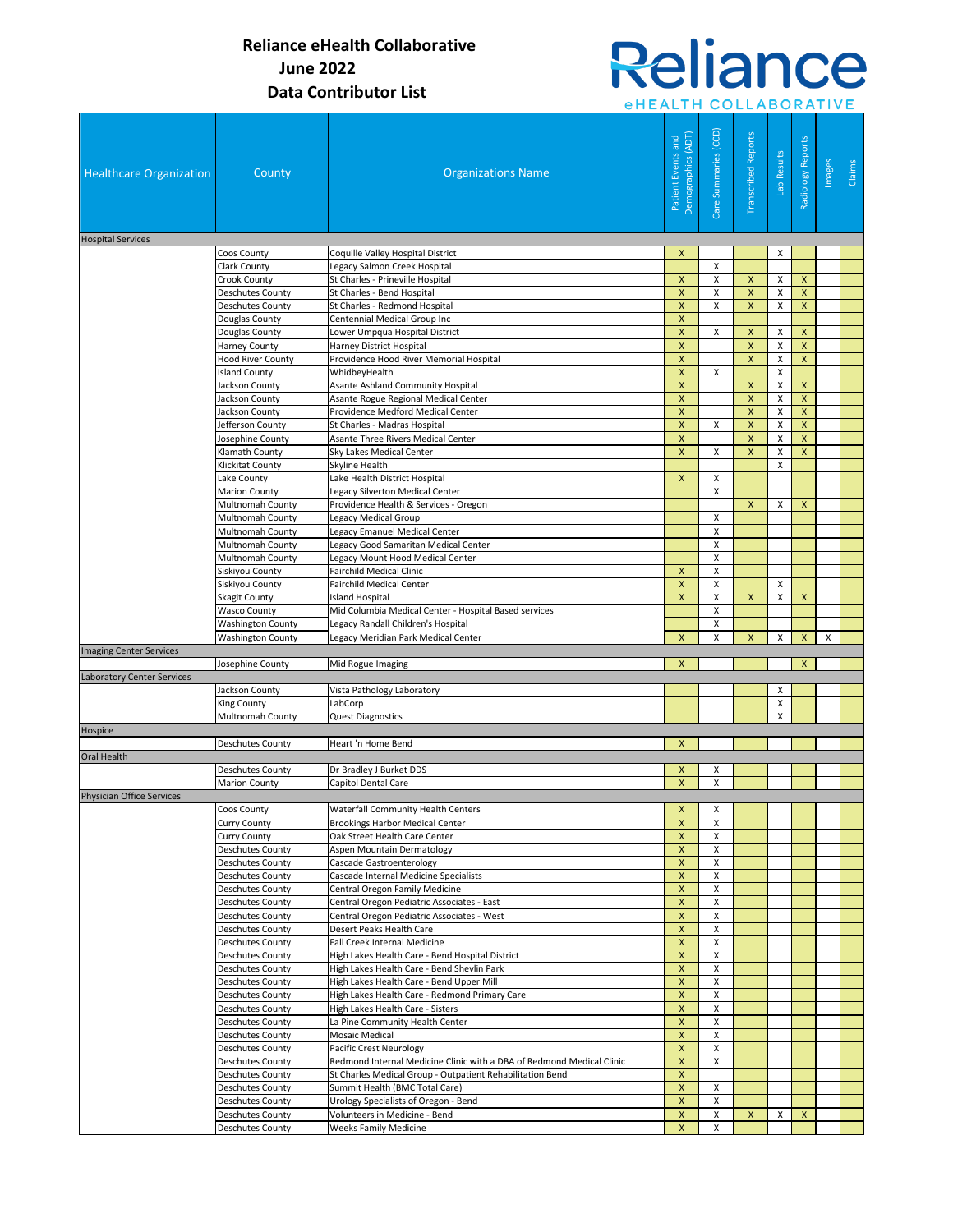## Reliance *eHEALTH COLLABORATIVE*

| <b>Healthcare Organization</b>    | County                                                          | <b>Organizations Name</b>                                                                | Demographics (ADT)<br>Patient Events and | Care Summaries (CCD) | <b>Transcribed Reports</b> | Lab Results | Radiology Reports  | Images | Claims |
|-----------------------------------|-----------------------------------------------------------------|------------------------------------------------------------------------------------------|------------------------------------------|----------------------|----------------------------|-------------|--------------------|--------|--------|
| <b>Hospital Services</b>          | Coos County                                                     | Coquille Valley Hospital District                                                        | $\mathsf{x}$                             |                      |                            | X           |                    |        |        |
|                                   | Clark County                                                    | Legacy Salmon Creek Hospital                                                             |                                          | X                    |                            |             |                    |        |        |
|                                   | <b>Crook County</b>                                             | St Charles - Prineville Hospital                                                         | X                                        | Χ                    | X                          | х           | X                  |        |        |
|                                   | <b>Deschutes County</b>                                         | St Charles - Bend Hospital                                                               | $\boldsymbol{\mathsf{x}}$                | Χ                    | X                          | X           | $\pmb{\mathsf{X}}$ |        |        |
|                                   | <b>Deschutes County</b>                                         | St Charles - Redmond Hospital                                                            | $\pmb{\mathsf{X}}$                       | X                    | $\pmb{\mathsf{X}}$         | X           | X                  |        |        |
|                                   | Douglas County                                                  | Centennial Medical Group Inc                                                             | $\pmb{\times}$                           |                      |                            |             |                    |        |        |
|                                   | Douglas County                                                  | Lower Umpqua Hospital District                                                           | $\pmb{\times}$                           | X                    | $\pmb{\times}$             | X           | $\mathsf{x}$       |        |        |
|                                   | Harney County                                                   | Harney District Hospital                                                                 | $\pmb{\times}$                           |                      | $\pmb{\mathsf{X}}$         | X           | $\pmb{\mathsf{X}}$ |        |        |
|                                   | <b>Hood River County</b>                                        | Providence Hood River Memorial Hospital                                                  | $\mathsf{x}$                             |                      | $\mathsf{x}$               | X           | $\mathsf{X}$       |        |        |
|                                   | <b>Island County</b>                                            | WhidbeyHealth                                                                            | $\boldsymbol{\mathsf{x}}$                | X                    |                            | X           |                    |        |        |
|                                   | Jackson County                                                  | Asante Ashland Community Hospital                                                        | X                                        |                      | X                          | Χ           | $\pmb{\mathsf{X}}$ |        |        |
|                                   | Jackson County                                                  | Asante Rogue Regional Medical Center                                                     | X                                        |                      | $\mathsf{x}$               | X           | $\mathsf{x}$       |        |        |
|                                   | Jackson County                                                  | Providence Medford Medical Center                                                        | $\pmb{\times}$                           |                      | $\pmb{\mathsf{X}}$         | X           | $\pmb{\mathsf{X}}$ |        |        |
|                                   | Jefferson County                                                | St Charles - Madras Hospital                                                             | $\mathsf{x}$                             | X                    | $\pmb{\mathsf{X}}$         | X           | $\pmb{\mathsf{x}}$ |        |        |
|                                   | Josephine County                                                | Asante Three Rivers Medical Center                                                       | $\mathsf{X}$                             |                      | $\mathsf{x}$               | X           | $\pmb{\mathsf{X}}$ |        |        |
|                                   | Klamath County                                                  | <b>Sky Lakes Medical Center</b>                                                          | $\pmb{\times}$                           | X                    | $\pmb{\times}$             | X           | $\pmb{\mathsf{X}}$ |        |        |
|                                   | Klickitat County                                                | Skyline Health                                                                           |                                          |                      |                            | X           |                    |        |        |
|                                   | Lake County                                                     | Lake Health District Hospital<br>Legacy Silverton Medical Center                         | $\pmb{\mathsf{X}}$                       | Χ<br>X               |                            |             |                    |        |        |
|                                   | <b>Marion County</b><br>Multnomah County                        | Providence Health & Services - Oregon                                                    |                                          |                      | $\mathsf{x}$               | x           | $\mathsf{x}$       |        |        |
|                                   | Multnomah County                                                | Legacy Medical Group                                                                     |                                          | X                    |                            |             |                    |        |        |
|                                   | Multnomah County                                                | Legacy Emanuel Medical Center                                                            |                                          | $\pmb{\mathsf{X}}$   |                            |             |                    |        |        |
|                                   | Multnomah County                                                | Legacy Good Samaritan Medical Center                                                     |                                          | X                    |                            |             |                    |        |        |
|                                   | Multnomah County                                                | Legacy Mount Hood Medical Center                                                         |                                          | X                    |                            |             |                    |        |        |
|                                   | Siskiyou County                                                 | Fairchild Medical Clinic                                                                 | X                                        | X                    |                            |             |                    |        |        |
|                                   | Siskiyou County                                                 | <b>Fairchild Medical Center</b>                                                          | $\mathsf{x}$                             | X                    |                            | X           |                    |        |        |
|                                   | <b>Skagit County</b>                                            | <b>Island Hospital</b>                                                                   | $\mathsf{x}$                             | X                    | X                          | X           | $\pmb{\mathsf{x}}$ |        |        |
|                                   | <b>Wasco County</b>                                             | Mid Columbia Medical Center - Hospital Based services                                    |                                          | X                    |                            |             |                    |        |        |
|                                   | <b>Washington County</b>                                        | Legacy Randall Children's Hospital                                                       |                                          | X                    |                            |             |                    |        |        |
|                                   | <b>Washington County</b>                                        | Legacy Meridian Park Medical Center                                                      | X                                        | X                    | $\pmb{\mathsf{X}}$         | X           | X                  | X      |        |
| <b>Imaging Center Services</b>    |                                                                 |                                                                                          |                                          |                      |                            |             |                    |        |        |
|                                   | Josephine County                                                | Mid Rogue Imaging                                                                        | $\mathsf{x}$                             |                      |                            |             | $\mathsf{x}$       |        |        |
| <b>Laboratory Center Services</b> |                                                                 | Vista Pathology Laboratory                                                               |                                          |                      |                            |             |                    |        |        |
|                                   | Jackson County                                                  |                                                                                          |                                          |                      | X<br>X                     |             |                    |        |        |
|                                   | King County<br>LabCorp<br>Multnomah County<br>Quest Diagnostics |                                                                                          |                                          |                      |                            | х           |                    |        |        |
| Hospice                           |                                                                 |                                                                                          |                                          |                      |                            |             |                    |        |        |
|                                   | <b>Deschutes County</b>                                         | Heart 'n Home Bend                                                                       | $\mathsf{x}$                             |                      |                            |             |                    |        |        |
| Oral Health                       |                                                                 |                                                                                          |                                          |                      |                            |             |                    |        |        |
|                                   | Deschutes County                                                | Dr Bradley J Burket DDS                                                                  | $\mathsf{X}$                             | X                    |                            |             |                    |        |        |
|                                   | <b>Marion County</b>                                            | Capitol Dental Care                                                                      | $\mathsf{x}$                             | X                    |                            |             |                    |        |        |
| <b>Physician Office Services</b>  |                                                                 |                                                                                          |                                          |                      |                            |             |                    |        |        |
|                                   | <b>Coos County</b>                                              | <b>Waterfall Community Health Centers</b>                                                | $\boldsymbol{\mathsf{X}}$                | X                    |                            |             |                    |        |        |
|                                   | <b>Curry County</b>                                             | <b>Brookings Harbor Medical Center</b>                                                   | $\pmb{\mathsf{x}}$                       | X                    |                            |             |                    |        |        |
|                                   | Curry County                                                    | Oak Street Health Care Center                                                            | $\mathsf{x}$                             | X                    |                            |             |                    |        |        |
|                                   | Deschutes County                                                | Aspen Mountain Dermatology                                                               | X                                        | X                    |                            |             |                    |        |        |
|                                   | <b>Deschutes County</b>                                         | Cascade Gastroenterology                                                                 | X                                        | X                    |                            |             |                    |        |        |
|                                   | <b>Deschutes County</b>                                         | Cascade Internal Medicine Specialists                                                    | X                                        | х                    |                            |             |                    |        |        |
|                                   | <b>Deschutes County</b>                                         | Central Oregon Family Medicine                                                           | $\pmb{\mathsf{X}}$                       | X                    |                            |             |                    |        |        |
|                                   | <b>Deschutes County</b>                                         | Central Oregon Pediatric Associates - East<br>Central Oregon Pediatric Associates - West | $\mathsf{x}$<br>$\pmb{\mathsf{X}}$       | Χ<br>Χ               |                            |             |                    |        |        |
|                                   | <b>Deschutes County</b><br><b>Deschutes County</b>              | Desert Peaks Health Care                                                                 | $\pmb{\mathsf{X}}$                       | X                    |                            |             |                    |        |        |
|                                   | <b>Deschutes County</b>                                         | Fall Creek Internal Medicine                                                             | $\mathsf{X}$                             | X                    |                            |             |                    |        |        |
|                                   | <b>Deschutes County</b>                                         | High Lakes Health Care - Bend Hospital District                                          | $\pmb{\mathsf{X}}$                       | X                    |                            |             |                    |        |        |
|                                   | <b>Deschutes County</b>                                         | High Lakes Health Care - Bend Shevlin Park                                               | X                                        | Χ                    |                            |             |                    |        |        |
|                                   | <b>Deschutes County</b>                                         | High Lakes Health Care - Bend Upper Mill                                                 | X                                        | Χ                    |                            |             |                    |        |        |
|                                   | <b>Deschutes County</b>                                         | High Lakes Health Care - Redmond Primary Care                                            | $\mathsf{x}$                             | $\pmb{\mathsf{X}}$   |                            |             |                    |        |        |
|                                   | <b>Deschutes County</b>                                         | High Lakes Health Care - Sisters                                                         | $\pmb{\mathsf{x}}$                       | X                    |                            |             |                    |        |        |
|                                   | <b>Deschutes County</b>                                         | La Pine Community Health Center                                                          | X                                        | х                    |                            |             |                    |        |        |
|                                   | Deschutes County                                                | Mosaic Medical                                                                           | $\pmb{\mathsf{X}}$                       | X                    |                            |             |                    |        |        |
|                                   | Deschutes County                                                | Pacific Crest Neurology                                                                  | $\pmb{\mathsf{X}}$                       | x                    |                            |             |                    |        |        |
|                                   | <b>Deschutes County</b>                                         | Redmond Internal Medicine Clinic with a DBA of Redmond Medical Clinic                    | X                                        | X                    |                            |             |                    |        |        |
|                                   | <b>Deschutes County</b>                                         | St Charles Medical Group - Outpatient Rehabilitation Bend                                | $\pmb{\mathsf{X}}$                       |                      |                            |             |                    |        |        |
|                                   | <b>Deschutes County</b>                                         | Summit Health (BMC Total Care)                                                           | $\pmb{\mathsf{X}}$                       | X                    |                            |             |                    |        |        |
|                                   | Deschutes County                                                | Urology Specialists of Oregon - Bend                                                     | X                                        | X                    |                            |             |                    |        |        |
|                                   | <b>Deschutes County</b>                                         | Volunteers in Medicine - Bend                                                            | $\pmb{\mathsf{X}}$<br>$\pmb{\mathsf{x}}$ | X                    | $\mathsf{x}$               | X           | $\mathsf{X}$       |        |        |
|                                   | <b>Deschutes County</b>                                         | <b>Weeks Family Medicine</b>                                                             |                                          | X                    |                            |             |                    |        |        |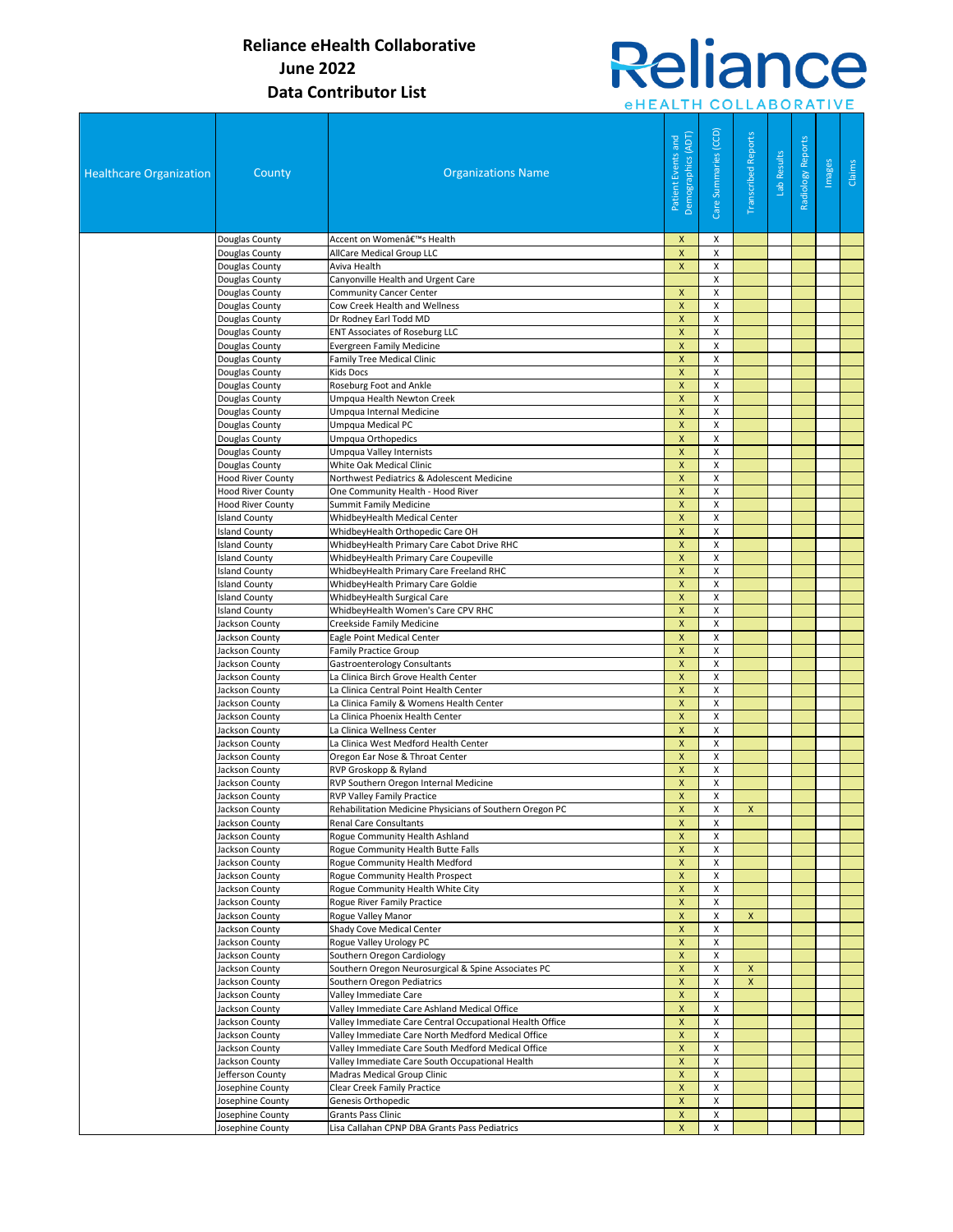# **Reliance** *eHEALTH COLLABORATIVE*

| <b>Healthcare Organization</b> | County                             | <b>Organizations Name</b>                                                      | Demographics (ADT)<br>Patient Events and        | Care Summaries (CCD) | <b>Transcribed Reports</b> | Lab Results | Radiology Reports | Images | Claims |
|--------------------------------|------------------------------------|--------------------------------------------------------------------------------|-------------------------------------------------|----------------------|----------------------------|-------------|-------------------|--------|--------|
|                                | Douglas County                     | Accent on Women's Health                                                       | X                                               | X                    |                            |             |                   |        |        |
|                                | Douglas County                     | AllCare Medical Group LLC                                                      | $\pmb{\mathsf{X}}$                              | X                    |                            |             |                   |        |        |
|                                | Douglas County                     | Aviva Health                                                                   | $\pmb{\mathsf{X}}$                              | X                    |                            |             |                   |        |        |
|                                | Douglas County                     | Canyonville Health and Urgent Care                                             |                                                 | X                    |                            |             |                   |        |        |
|                                | Douglas County                     | <b>Community Cancer Center</b>                                                 | X                                               | X                    |                            |             |                   |        |        |
|                                | Douglas County                     | Cow Creek Health and Wellness                                                  | $\mathsf{x}$                                    | X                    |                            |             |                   |        |        |
|                                | Douglas County                     | Dr Rodney Earl Todd MD                                                         | $\pmb{\mathsf{X}}$                              | X                    |                            |             |                   |        |        |
|                                | Douglas County                     | <b>ENT Associates of Roseburg LLC</b>                                          | X                                               | X                    |                            |             |                   |        |        |
|                                | Douglas County                     | <b>Evergreen Family Medicine</b>                                               | $\pmb{\mathsf{X}}$                              | X                    |                            |             |                   |        |        |
|                                | Douglas County                     | Family Tree Medical Clinic                                                     | $\pmb{\mathsf{X}}$                              | $\pmb{\times}$       |                            |             |                   |        |        |
|                                | Douglas County                     | <b>Kids Docs</b>                                                               | $\pmb{\mathsf{X}}$                              | X                    |                            |             |                   |        |        |
|                                | Douglas County<br>Douglas County   | Roseburg Foot and Ankle<br>Umpqua Health Newton Creek                          | X<br>$\pmb{\mathsf{X}}$                         | X<br>X               |                            |             |                   |        |        |
|                                |                                    |                                                                                | $\pmb{\mathsf{X}}$                              | X                    |                            |             |                   |        |        |
|                                | Douglas County<br>Douglas County   | Umpqua Internal Medicine<br>Umpqua Medical PC                                  | X                                               | X                    |                            |             |                   |        |        |
|                                | Douglas County                     | Umpqua Orthopedics                                                             | $\pmb{\mathsf{X}}$                              | $\pmb{\times}$       |                            |             |                   |        |        |
|                                | Douglas County                     | <b>Umpqua Valley Internists</b>                                                | $\pmb{\mathsf{X}}$                              | X                    |                            |             |                   |        |        |
|                                | Douglas County                     | White Oak Medical Clinic                                                       | $\mathsf{x}$                                    | X                    |                            |             |                   |        |        |
|                                | <b>Hood River County</b>           | Northwest Pediatrics & Adolescent Medicine                                     | X                                               | Х                    |                            |             |                   |        |        |
|                                | <b>Hood River County</b>           | One Community Health - Hood River                                              | $\pmb{\mathsf{X}}$                              | X                    |                            |             |                   |        |        |
|                                | <b>Hood River County</b>           | <b>Summit Family Medicine</b>                                                  | $\pmb{\mathsf{X}}$                              | X                    |                            |             |                   |        |        |
|                                | <b>Island County</b>               | WhidbeyHealth Medical Center                                                   | $\pmb{\mathsf{X}}$                              | X                    |                            |             |                   |        |        |
|                                | <b>Island County</b>               | WhidbeyHealth Orthopedic Care OH                                               | $\mathsf{x}$                                    | X                    |                            |             |                   |        |        |
|                                | <b>Island County</b>               | WhidbeyHealth Primary Care Cabot Drive RHC                                     | $\pmb{\mathsf{X}}$                              | X                    |                            |             |                   |        |        |
|                                | <b>Island County</b>               | WhidbeyHealth Primary Care Coupeville                                          | $\mathsf{x}$                                    | X                    |                            |             |                   |        |        |
|                                | <b>Island County</b>               | WhidbeyHealth Primary Care Freeland RHC                                        | $\boldsymbol{\mathsf{x}}$                       | X                    |                            |             |                   |        |        |
|                                | <b>Island County</b>               | WhidbeyHealth Primary Care Goldie                                              | X                                               | X                    |                            |             |                   |        |        |
|                                | <b>Island County</b>               | WhidbeyHealth Surgical Care                                                    | $\pmb{\mathsf{X}}$                              | X                    |                            |             |                   |        |        |
|                                | <b>Island County</b>               | WhidbeyHealth Women's Care CPV RHC                                             | $\pmb{\mathsf{X}}$                              | X                    |                            |             |                   |        |        |
|                                | Jackson County                     | Creekside Family Medicine                                                      | $\pmb{\mathsf{X}}$                              | X                    |                            |             |                   |        |        |
|                                | Jackson County                     | Eagle Point Medical Center                                                     | $\boldsymbol{\mathsf{x}}$<br>$\pmb{\mathsf{X}}$ | Χ<br>X               |                            |             |                   |        |        |
|                                | Jackson County<br>Jackson County   | <b>Family Practice Group</b><br>Gastroenterology Consultants                   | X                                               | X                    |                            |             |                   |        |        |
|                                | Jackson County                     | La Clinica Birch Grove Health Center                                           | X                                               | X                    |                            |             |                   |        |        |
|                                | Jackson County                     | La Clinica Central Point Health Center                                         | $\pmb{\mathsf{X}}$                              | $\pmb{\times}$       |                            |             |                   |        |        |
|                                | Jackson County                     | La Clinica Family & Womens Health Center                                       | $\pmb{\mathsf{X}}$                              | X                    |                            |             |                   |        |        |
|                                | Jackson County                     | La Clinica Phoenix Health Center                                               | $\mathsf{x}$                                    | X                    |                            |             |                   |        |        |
|                                | Jackson County                     | La Clinica Wellness Center                                                     | $\pmb{\mathsf{X}}$                              | X                    |                            |             |                   |        |        |
|                                | Jackson County                     | La Clinica West Medford Health Center                                          | $\pmb{\mathsf{X}}$                              | X                    |                            |             |                   |        |        |
|                                | Jackson County                     | Oregon Ear Nose & Throat Center                                                | $\pmb{\mathsf{X}}$                              | X                    |                            |             |                   |        |        |
|                                | Jackson County                     | RVP Groskopp & Ryland                                                          | $\pmb{\mathsf{X}}$                              | X                    |                            |             |                   |        |        |
|                                | Jackson County                     | RVP Southern Oregon Internal Medicine                                          | $\pmb{\mathsf{X}}$                              | X                    |                            |             |                   |        |        |
|                                | Jackson County                     | <b>RVP Valley Family Practice</b>                                              | X                                               | X                    |                            |             |                   |        |        |
|                                | Jackson Countv                     | Rehabilitation Medicine Physicians of Southern Oregon PC                       | <b>X</b>                                        | X                    | $\mathsf{X}$               |             |                   |        |        |
|                                | Jackson County                     | <b>Renal Care Consultants</b>                                                  | X                                               | X                    |                            |             |                   |        |        |
|                                | Jackson County                     | Rogue Community Health Ashland                                                 | X                                               | X                    |                            |             |                   |        |        |
|                                | Jackson County<br>Jackson County   | Rogue Community Health Butte Falls<br>Rogue Community Health Medford           | X<br>$\pmb{\mathsf{X}}$                         | X<br>X               |                            |             |                   |        |        |
|                                | Jackson County                     | Rogue Community Health Prospect                                                | $\pmb{\mathsf{X}}$                              | X                    |                            |             |                   |        |        |
|                                | Jackson County                     | Rogue Community Health White City                                              | X                                               | Х                    |                            |             |                   |        |        |
|                                | Jackson County                     | Rogue River Family Practice                                                    | $\pmb{\mathsf{X}}$                              | X                    |                            |             |                   |        |        |
|                                | Jackson County                     | Rogue Valley Manor                                                             | X                                               | X                    | X                          |             |                   |        |        |
|                                | Jackson County                     | Shady Cove Medical Center                                                      | $\pmb{\mathsf{X}}$                              | X                    |                            |             |                   |        |        |
|                                | Jackson County                     | Rogue Valley Urology PC                                                        | $\pmb{\mathsf{X}}$                              | X                    |                            |             |                   |        |        |
|                                | Jackson County                     | Southern Oregon Cardiology                                                     | X                                               | X                    |                            |             |                   |        |        |
|                                | Jackson County                     | Southern Oregon Neurosurgical & Spine Associates PC                            | X                                               | Χ                    | X                          |             |                   |        |        |
|                                | Jackson County                     | Southern Oregon Pediatrics                                                     | $\pmb{\mathsf{X}}$                              | X                    | $\boldsymbol{\mathsf{x}}$  |             |                   |        |        |
|                                | Jackson County                     | Valley Immediate Care                                                          | X                                               | X                    |                            |             |                   |        |        |
|                                | Jackson County                     | Valley Immediate Care Ashland Medical Office                                   | $\pmb{\mathsf{X}}$                              | X                    |                            |             |                   |        |        |
|                                | Jackson County                     | Valley Immediate Care Central Occupational Health Office                       | $\pmb{\mathsf{X}}$                              | X                    |                            |             |                   |        |        |
|                                | Jackson County                     | Valley Immediate Care North Medford Medical Office                             | $\pmb{\mathsf{X}}$                              | X                    |                            |             |                   |        |        |
|                                | Jackson County                     | Valley Immediate Care South Medford Medical Office                             | X                                               | X                    |                            |             |                   |        |        |
|                                | Jackson County<br>Jefferson County | Valley Immediate Care South Occupational Health<br>Madras Medical Group Clinic | $\pmb{\mathsf{X}}$<br>X                         | X<br>X               |                            |             |                   |        |        |
|                                | Josephine County                   | Clear Creek Family Practice                                                    | X                                               | X                    |                            |             |                   |        |        |
|                                | Josephine County                   | Genesis Orthopedic                                                             | $\pmb{\mathsf{X}}$                              | X                    |                            |             |                   |        |        |
|                                | Josephine County                   | Grants Pass Clinic                                                             | X                                               | X                    |                            |             |                   |        |        |
|                                | Josephine County                   | Lisa Callahan CPNP DBA Grants Pass Pediatrics                                  | X                                               | X                    |                            |             |                   |        |        |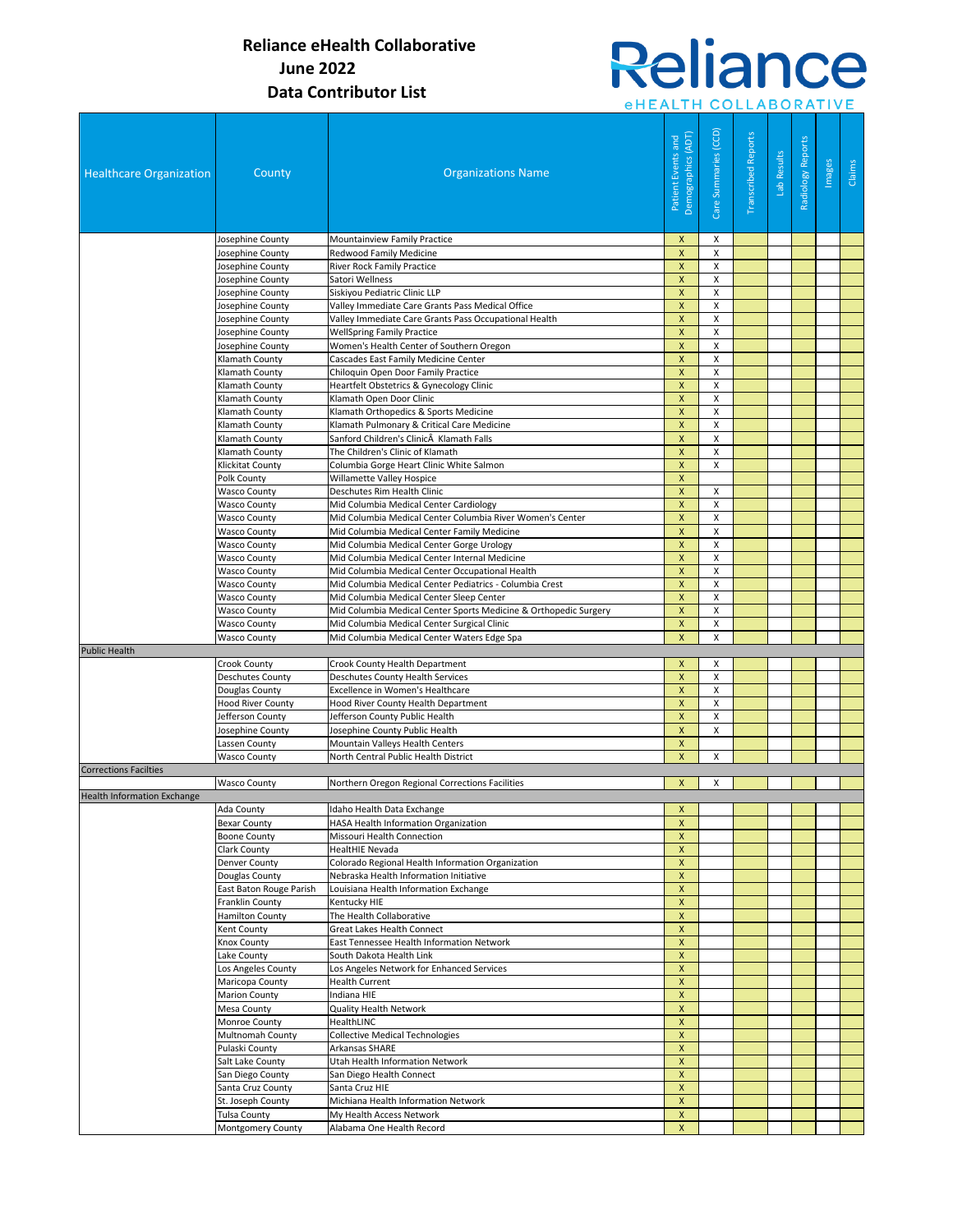# Reliance

| eHEALTH COLLABORATIVE |  |  |  |  |  |  |  |  |  |  |  |  |
|-----------------------|--|--|--|--|--|--|--|--|--|--|--|--|
|                       |  |  |  |  |  |  |  |  |  |  |  |  |

| <b>Healthcare Organization</b>     | County                                     | <b>Organizations Name</b>                                                                                  | Demographics (ADT)<br>Patient Events and | Care Summaries (CCD) | <b>Transcribed Reports</b> | Lab Results | Radiology Reports | Images | Claims |
|------------------------------------|--------------------------------------------|------------------------------------------------------------------------------------------------------------|------------------------------------------|----------------------|----------------------------|-------------|-------------------|--------|--------|
|                                    | Josephine County                           | Mountainview Family Practice                                                                               | X                                        | х                    |                            |             |                   |        |        |
|                                    | Josephine County                           | Redwood Family Medicine                                                                                    | $\pmb{\mathsf{X}}$                       | X                    |                            |             |                   |        |        |
|                                    | Josephine County                           | <b>River Rock Family Practice</b>                                                                          | X                                        | X                    |                            |             |                   |        |        |
|                                    | Josephine County                           | Satori Wellness                                                                                            | $\boldsymbol{X}$                         | X                    |                            |             |                   |        |        |
|                                    | Josephine County                           | Siskiyou Pediatric Clinic LLP                                                                              | $\mathsf{x}$                             | X                    |                            |             |                   |        |        |
|                                    | Josephine County                           | Valley Immediate Care Grants Pass Medical Office                                                           | $\pmb{\mathsf{X}}$<br>X                  | X<br>X               |                            |             |                   |        |        |
|                                    | Josephine County<br>Josephine County       | Valley Immediate Care Grants Pass Occupational Health<br><b>WellSpring Family Practice</b>                 | $\pmb{\mathsf{X}}$                       | X                    |                            |             |                   |        |        |
|                                    | Josephine County                           | Women's Health Center of Southern Oregon                                                                   | $\pmb{\mathsf{X}}$                       | $\mathsf{x}$         |                            |             |                   |        |        |
|                                    | Klamath County                             | Cascades East Family Medicine Center                                                                       | $\pmb{\mathsf{X}}$                       | X                    |                            |             |                   |        |        |
|                                    | Klamath County                             | Chiloquin Open Door Family Practice                                                                        | $\pmb{\mathsf{X}}$                       | X                    |                            |             |                   |        |        |
|                                    | Klamath County                             | Heartfelt Obstetrics & Gynecology Clinic                                                                   | $\pmb{\mathsf{X}}$                       | X                    |                            |             |                   |        |        |
|                                    | Klamath County                             | Klamath Open Door Clinic                                                                                   | $\boldsymbol{\mathsf{x}}$                | X                    |                            |             |                   |        |        |
|                                    | Klamath County                             | Klamath Orthopedics & Sports Medicine                                                                      | $\boldsymbol{\mathsf{x}}$                | X                    |                            |             |                   |        |        |
|                                    | Klamath County                             | Klamath Pulmonary & Critical Care Medicine                                                                 | X                                        | X                    |                            |             |                   |        |        |
|                                    | Klamath County                             | Sanford Children's Clinic Klamath Falls                                                                    | X                                        | X                    |                            |             |                   |        |        |
|                                    | Klamath County                             | The Children's Clinic of Klamath                                                                           | $\pmb{\mathsf{X}}$                       | X                    |                            |             |                   |        |        |
|                                    | <b>Klickitat County</b>                    | Columbia Gorge Heart Clinic White Salmon                                                                   | $\pmb{\mathsf{X}}$                       | X                    |                            |             |                   |        |        |
|                                    | Polk County                                | Willamette Valley Hospice                                                                                  | $\boldsymbol{\mathsf{x}}$                |                      |                            |             |                   |        |        |
|                                    | <b>Wasco County</b>                        | Deschutes Rim Health Clinic                                                                                | $\pmb{\mathsf{X}}$                       | X                    |                            |             |                   |        |        |
|                                    | <b>Wasco County</b>                        | Mid Columbia Medical Center Cardiology                                                                     | $\pmb{\mathsf{X}}$                       | X                    |                            |             |                   |        |        |
|                                    | <b>Wasco County</b>                        | Mid Columbia Medical Center Columbia River Women's Center                                                  | $\pmb{\mathsf{X}}$                       | X                    |                            |             |                   |        |        |
|                                    | <b>Wasco County</b>                        | Mid Columbia Medical Center Family Medicine                                                                | $\pmb{\mathsf{X}}$                       | X                    |                            |             |                   |        |        |
|                                    | <b>Wasco County</b>                        | Mid Columbia Medical Center Gorge Urology                                                                  | $\pmb{\mathsf{X}}$                       | X                    |                            |             |                   |        |        |
|                                    | <b>Wasco County</b>                        | Mid Columbia Medical Center Internal Medicine                                                              | $\pmb{\mathsf{X}}$                       | X                    |                            |             |                   |        |        |
|                                    | <b>Wasco County</b><br><b>Wasco County</b> | Mid Columbia Medical Center Occupational Health<br>Mid Columbia Medical Center Pediatrics - Columbia Crest | X<br>$\pmb{\mathsf{X}}$                  | X<br>X               |                            |             |                   |        |        |
|                                    | <b>Wasco County</b>                        | Mid Columbia Medical Center Sleep Center                                                                   | $\pmb{\mathsf{X}}$                       | $\mathsf{x}$         |                            |             |                   |        |        |
|                                    | <b>Wasco County</b>                        | Mid Columbia Medical Center Sports Medicine & Orthopedic Surgery                                           | $\pmb{\mathsf{X}}$                       | X                    |                            |             |                   |        |        |
|                                    | <b>Wasco County</b>                        | Mid Columbia Medical Center Surgical Clinic                                                                | $\pmb{\mathsf{X}}$                       | X                    |                            |             |                   |        |        |
|                                    | <b>Wasco County</b>                        | Mid Columbia Medical Center Waters Edge Spa                                                                | $\mathsf{x}$                             | X                    |                            |             |                   |        |        |
| <b>Public Health</b>               |                                            |                                                                                                            |                                          |                      |                            |             |                   |        |        |
|                                    | Crook County                               | Crook County Health Department                                                                             | $\boldsymbol{\mathsf{x}}$                | X                    |                            |             |                   |        |        |
|                                    | <b>Deschutes County</b>                    | Deschutes County Health Services                                                                           | $\pmb{\mathsf{X}}$                       | X                    |                            |             |                   |        |        |
|                                    | Douglas County                             | Excellence in Women's Healthcare                                                                           | X                                        | X                    |                            |             |                   |        |        |
|                                    | <b>Hood River County</b>                   | Hood River County Health Department                                                                        | $\pmb{\mathsf{X}}$                       | X                    |                            |             |                   |        |        |
|                                    | Jefferson County                           | Jefferson County Public Health                                                                             | $\pmb{\mathsf{X}}$                       | X                    |                            |             |                   |        |        |
|                                    | Josephine County                           | Josephine County Public Health                                                                             | $\boldsymbol{\mathsf{X}}$                | Х                    |                            |             |                   |        |        |
|                                    | Lassen County                              | Mountain Valleys Health Centers                                                                            | $\pmb{\mathsf{X}}$                       |                      |                            |             |                   |        |        |
|                                    | <b>Wasco County</b>                        | North Central Public Health District                                                                       | $\boldsymbol{X}$                         | Х                    |                            |             |                   |        |        |
| <b>Corrections Facilties</b>       |                                            |                                                                                                            |                                          |                      |                            |             |                   |        |        |
|                                    | <b>Wasco County</b>                        | Northern Oregon Regional Corrections Facilities                                                            | $\boldsymbol{\mathsf{x}}$                | X                    |                            |             |                   |        |        |
| <b>Health Information Exchange</b> |                                            | Idaho Health Data Exchange                                                                                 | $\mathsf{x}$                             |                      |                            |             |                   |        |        |
|                                    | Ada County<br><b>Bexar County</b>          | HASA Health Information Organization                                                                       | $\boldsymbol{\mathsf{x}}$                |                      |                            |             |                   |        |        |
|                                    | <b>Boone County</b>                        | Missouri Health Connection                                                                                 | $\pmb{\mathsf{X}}$                       |                      |                            |             |                   |        |        |
|                                    | Clark County                               | HealtHIE Nevada                                                                                            | $\boldsymbol{\mathsf{x}}$                |                      |                            |             |                   |        |        |
|                                    | <b>Denver County</b>                       | Colorado Regional Health Information Organization                                                          | $\pmb{\mathsf{X}}$                       |                      |                            |             |                   |        |        |
|                                    | Douglas County                             | Nebraska Health Information Initiative                                                                     | $\pmb{\mathsf{X}}$                       |                      |                            |             |                   |        |        |
|                                    | East Baton Rouge Parish                    | Louisiana Health Information Exchange                                                                      | $\pmb{\times}$                           |                      |                            |             |                   |        |        |
|                                    | <b>Franklin County</b>                     | Kentucky HIE                                                                                               | $\boldsymbol{\mathsf{x}}$                |                      |                            |             |                   |        |        |
|                                    | <b>Hamilton County</b>                     | The Health Collaborative                                                                                   | $\pmb{\times}$                           |                      |                            |             |                   |        |        |
|                                    | Kent County                                | Great Lakes Health Connect                                                                                 | $\pmb{\mathsf{X}}$                       |                      |                            |             |                   |        |        |
|                                    | Knox County                                | East Tennessee Health Information Network                                                                  | $\boldsymbol{\mathsf{x}}$                |                      |                            |             |                   |        |        |
|                                    | Lake County                                | South Dakota Health Link                                                                                   | $\boldsymbol{\mathsf{x}}$                |                      |                            |             |                   |        |        |
|                                    | Los Angeles County                         | Los Angeles Network for Enhanced Services                                                                  | $\pmb{\mathsf{X}}$                       |                      |                            |             |                   |        |        |
|                                    | Maricopa County                            | <b>Health Current</b>                                                                                      | $\boldsymbol{\mathsf{X}}$                |                      |                            |             |                   |        |        |
|                                    | <b>Marion County</b>                       | Indiana HIE                                                                                                | $\pmb{\times}$                           |                      |                            |             |                   |        |        |
|                                    | Mesa County                                | Quality Health Network                                                                                     | X                                        |                      |                            |             |                   |        |        |
|                                    | Monroe County                              | HealthLINC                                                                                                 | $\pmb{\mathsf{X}}$                       |                      |                            |             |                   |        |        |
|                                    | Multnomah County                           | <b>Collective Medical Technologies</b>                                                                     | $\pmb{\times}$                           |                      |                            |             |                   |        |        |
|                                    | Pulaski County                             | Arkansas SHARE                                                                                             | $\pmb{\times}$                           |                      |                            |             |                   |        |        |
|                                    | Salt Lake County                           | Utah Health Information Network                                                                            | X<br>$\pmb{\times}$                      |                      |                            |             |                   |        |        |
|                                    | San Diego County<br>Santa Cruz County      | San Diego Health Connect<br>Santa Cruz HIE                                                                 | $\pmb{\mathsf{X}}$                       |                      |                            |             |                   |        |        |
|                                    | St. Joseph County                          | Michiana Health Information Network                                                                        | $\boldsymbol{\mathsf{x}}$                |                      |                            |             |                   |        |        |
|                                    | <b>Tulsa County</b>                        | My Health Access Network                                                                                   | $\pmb{\times}$                           |                      |                            |             |                   |        |        |
|                                    | Montgomery County                          | Alabama One Health Record                                                                                  | $\boldsymbol{X}$                         |                      |                            |             |                   |        |        |